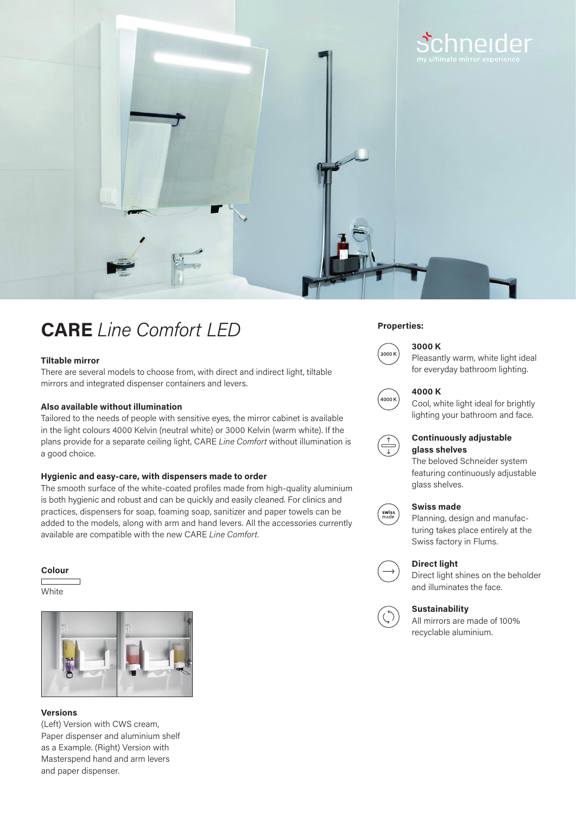

# **CARE** *Line Comfort LED*

# **Tiltable mirror**

There are several models to choose from, with direct and indirect light, tiltable mirrors and integrated dispenser containers and levers.

# **Also available without illumination**

Tailored to the needs of people with sensitive eyes, the mirror cabinet is available in the light colours 4000 Kelvin (neutral white) or 3000 Kelvin (warm white). If the plans provide for a separate ceiling light, CARE *Line Comfort* without illumination is a good choice.

# **Hygienic and easy-care, with dispensers made to order**

The smooth surface of the white-coated profiles made from high-quality aluminium is both hygienic and robust and can be quickly and easily cleaned. For clinics and practices, dispensers for soap, foaming soap, sanitizer and paper towels can be added to the models, along with arm and hand levers. All the accessories currently available are compatible with the new CARE *Line Comfort*.

### **Colour**

**White** 



# **Versions**

(Left) Version with CWS cream, Paper dispenser and aluminium shelf as a Example. (Right) Version with Masterspend hand and arm levers and paper dispenser.

# **Properties:**



# **3000 K** Pleasantly warm, white light ideal



# **4000 K** Cool, white light ideal for brightly

for everyday bathroom lighting.

lighting your bathroom and face.



# **Continuously adjustable glass shelves**

The beloved Schneider system featuring continuously adjustable glass shelves.

# **Swiss made**



Planning, design and manufacturing takes place entirely at the Swiss factory in Flums.



# **Direct light**

Direct light shines on the beholder and illuminates the face.



# **Sustainability**

All mirrors are made of 100% recyclable aluminium.